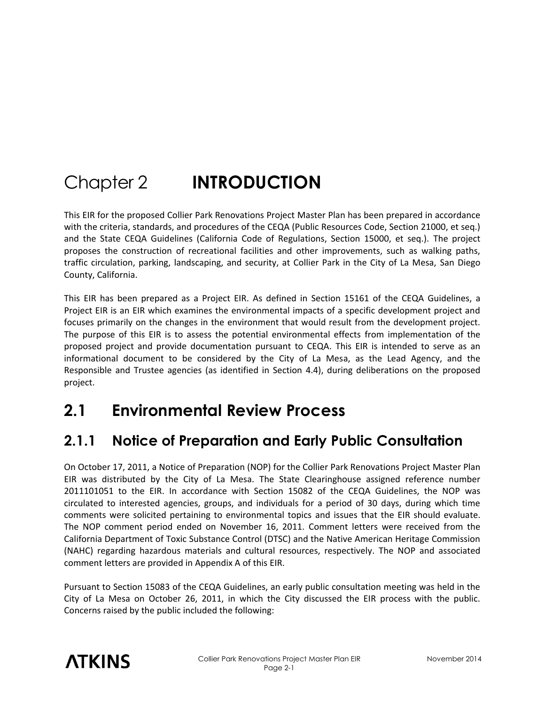# Chapter 2 **INTRODUCTION**

This EIR for the proposed Collier Park Renovations Project Master Plan has been prepared in accordance with the criteria, standards, and procedures of the CEQA (Public Resources Code, Section 21000, et seq.) and the State CEQA Guidelines (California Code of Regulations, Section 15000, et seq.). The project proposes the construction of recreational facilities and other improvements, such as walking paths, traffic circulation, parking, landscaping, and security, at Collier Park in the City of La Mesa, San Diego County, California.

This EIR has been prepared as a Project EIR. As defined in Section 15161 of the CEQA Guidelines, a Project EIR is an EIR which examines the environmental impacts of a specific development project and focuses primarily on the changes in the environment that would result from the development project. The purpose of this EIR is to assess the potential environmental effects from implementation of the proposed project and provide documentation pursuant to CEQA. This EIR is intended to serve as an informational document to be considered by the City of La Mesa, as the Lead Agency, and the Responsible and Trustee agencies (as identified in Section 4.4), during deliberations on the proposed project.

# **2.1 Environmental Review Process**

# **2.1.1 Notice of Preparation and Early Public Consultation**

On October 17, 2011, a Notice of Preparation (NOP) for the Collier Park Renovations Project Master Plan EIR was distributed by the City of La Mesa. The State Clearinghouse assigned reference number 2011101051 to the EIR. In accordance with Section 15082 of the CEQA Guidelines, the NOP was circulated to interested agencies, groups, and individuals for a period of 30 days, during which time comments were solicited pertaining to environmental topics and issues that the EIR should evaluate. The NOP comment period ended on November 16, 2011. Comment letters were received from the California Department of Toxic Substance Control (DTSC) and the Native American Heritage Commission (NAHC) regarding hazardous materials and cultural resources, respectively. The NOP and associated comment letters are provided in Appendix A of this EIR.

Pursuant to Section 15083 of the CEQA Guidelines, an early public consultation meeting was held in the City of La Mesa on October 26, 2011, in which the City discussed the EIR process with the public. Concerns raised by the public included the following:

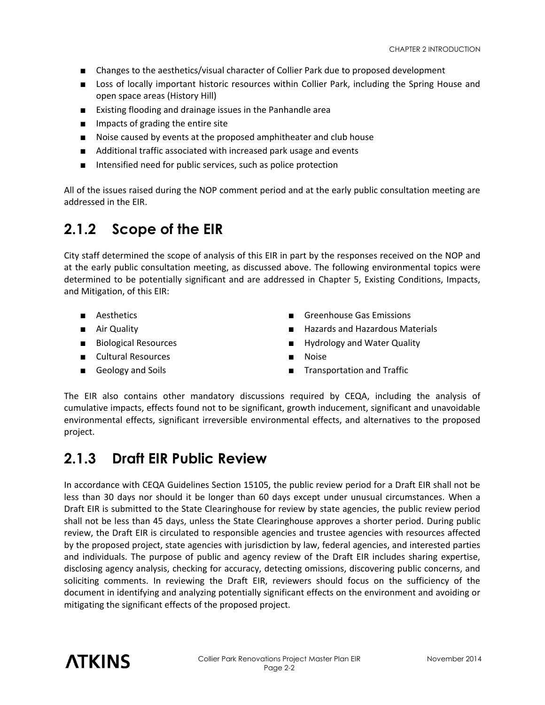- Changes to the aesthetics/visual character of Collier Park due to proposed development
- Loss of locally important historic resources within Collier Park, including the Spring House and open space areas (History Hill)
- Existing flooding and drainage issues in the Panhandle area
- Impacts of grading the entire site
- Noise caused by events at the proposed amphitheater and club house
- Additional traffic associated with increased park usage and events
- Intensified need for public services, such as police protection

All of the issues raised during the NOP comment period and at the early public consultation meeting are addressed in the EIR.

#### **2.1.2 Scope of the EIR**

City staff determined the scope of analysis of this EIR in part by the responses received on the NOP and at the early public consultation meeting, as discussed above. The following environmental topics were determined to be potentially significant and are addressed in Chapter 5, Existing Conditions, Impacts, and Mitigation, of this EIR:

- 
- 
- 
- Cultural Resources Noise
- 
- Aesthetics Greenhouse Gas Emissions
- Air Quality  **Hazards and Hazardous Materials**
- Biological Resources Hydrology and Water Quality
	-
- Geology and Soils  **Transportation and Traffic**

The EIR also contains other mandatory discussions required by CEQA, including the analysis of cumulative impacts, effects found not to be significant, growth inducement, significant and unavoidable environmental effects, significant irreversible environmental effects, and alternatives to the proposed project.

#### **2.1.3 Draft EIR Public Review**

In accordance with CEQA Guidelines Section 15105, the public review period for a Draft EIR shall not be less than 30 days nor should it be longer than 60 days except under unusual circumstances. When a Draft EIR is submitted to the State Clearinghouse for review by state agencies, the public review period shall not be less than 45 days, unless the State Clearinghouse approves a shorter period. During public review, the Draft EIR is circulated to responsible agencies and trustee agencies with resources affected by the proposed project, state agencies with jurisdiction by law, federal agencies, and interested parties and individuals. The purpose of public and agency review of the Draft EIR includes sharing expertise, disclosing agency analysis, checking for accuracy, detecting omissions, discovering public concerns, and soliciting comments. In reviewing the Draft EIR, reviewers should focus on the sufficiency of the document in identifying and analyzing potentially significant effects on the environment and avoiding or mitigating the significant effects of the proposed project.

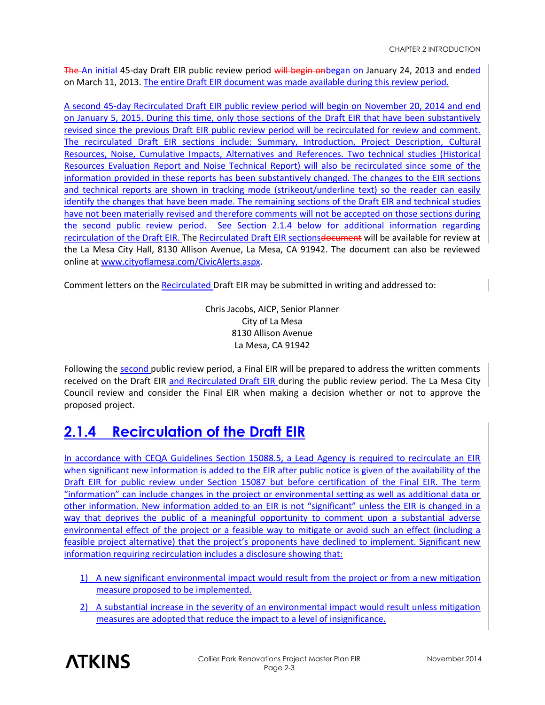The An initial 45-day Draft EIR public review period will begin onbegan on January 24, 2013 and ended on March 11, 2013. The entire Draft EIR document was made available during this review period.

A second 45-day Recirculated Draft EIR public review period will begin on November 20, 2014 and end on January 5, 2015. During this time, only those sections of the Draft EIR that have been substantively revised since the previous Draft EIR public review period will be recirculated for review and comment. The recirculated Draft EIR sections include: Summary, Introduction, Project Description, Cultural Resources, Noise, Cumulative Impacts, Alternatives and References. Two technical studies (Historical Resources Evaluation Report and Noise Technical Report) will also be recirculated since some of the information provided in these reports has been substantively changed. The changes to the EIR sections and technical reports are shown in tracking mode (strikeout/underline text) so the reader can easily identify the changes that have been made. The remaining sections of the Draft EIR and technical studies have not been materially revised and therefore comments will not be accepted on those sections during the second public review period. See Section 2.1.4 below for additional information regarding recirculation of the Draft EIR. The Recirculated Draft EIR sectionsdocument will be available for review at the La Mesa City Hall, 8130 Allison Avenue, La Mesa, CA 91942. The document can also be reviewed online at [www.cityoflamesa.com/CivicAlerts.aspx.](http://www.cityoflamesa.com/CivicAlerts.aspx)

Comment letters on the Recirculated Draft EIR may be submitted in writing and addressed to:

Chris Jacobs, AICP, Senior Planner City of La Mesa 8130 Allison Avenue La Mesa, CA 91942

Following the second public review period, a Final EIR will be prepared to address the written comments received on the Draft EIR and Recirculated Draft EIR during the public review period. The La Mesa City Council review and consider the Final EIR when making a decision whether or not to approve the proposed project.

### **2.1.4 Recirculation of the Draft EIR**

In accordance with CEQA Guidelines Section 15088.5, a Lead Agency is required to recirculate an EIR when significant new information is added to the EIR after public notice is given of the availability of the Draft EIR for public review under Section 15087 but before certification of the Final EIR. The term "information" can include changes in the project or environmental setting as well as additional data or other information. New information added to an EIR is not "significant" unless the EIR is changed in a way that deprives the public of a meaningful opportunity to comment upon a substantial adverse environmental effect of the project or a feasible way to mitigate or avoid such an effect (including a feasible project alternative) that the project's proponents have declined to implement. Significant new information requiring recirculation includes a disclosure showing that:

- 1) A new significant environmental impact would result from the project or from a new mitigation measure proposed to be implemented.
- 2) A substantial increase in the severity of an environmental impact would result unless mitigation measures are adopted that reduce the impact to a level of insignificance.

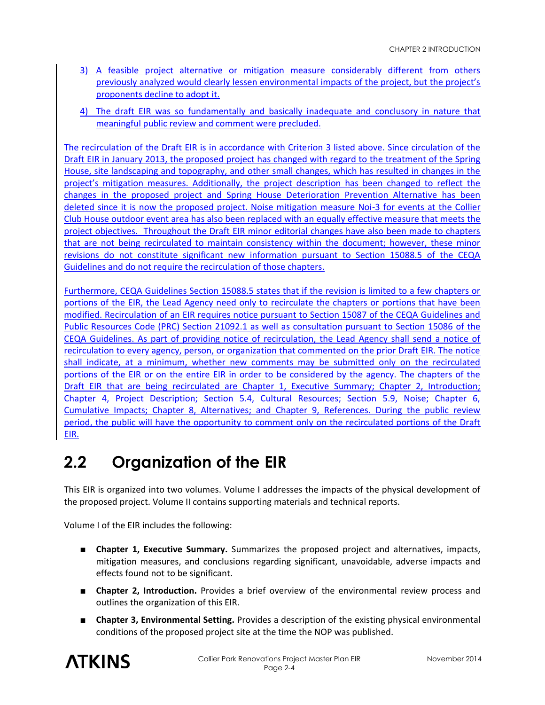- 3) A feasible project alternative or mitigation measure considerably different from others previously analyzed would clearly lessen environmental impacts of the project, but the project's proponents decline to adopt it.
- 4) The draft EIR was so fundamentally and basically inadequate and conclusory in nature that meaningful public review and comment were precluded.

The recirculation of the Draft EIR is in accordance with Criterion 3 listed above. Since circulation of the Draft EIR in January 2013, the proposed project has changed with regard to the treatment of the Spring House, site landscaping and topography, and other small changes, which has resulted in changes in the project's mitigation measures. Additionally, the project description has been changed to reflect the changes in the proposed project and Spring House Deterioration Prevention Alternative has been deleted since it is now the proposed project. Noise mitigation measure Noi-3 for events at the Collier Club House outdoor event area has also been replaced with an equally effective measure that meets the project objectives. Throughout the Draft EIR minor editorial changes have also been made to chapters that are not being recirculated to maintain consistency within the document; however, these minor revisions do not constitute significant new information pursuant to Section 15088.5 of the CEQA Guidelines and do not require the recirculation of those chapters.

Furthermore, CEQA Guidelines Section 15088.5 states that if the revision is limited to a few chapters or portions of the EIR, the Lead Agency need only to recirculate the chapters or portions that have been modified. Recirculation of an EIR requires notice pursuant to Section 15087 of the CEQA Guidelines and Public Resources Code (PRC) Section 21092.1 as well as consultation pursuant to Section 15086 of the CEQA Guidelines. As part of providing notice of recirculation, the Lead Agency shall send a notice of recirculation to every agency, person, or organization that commented on the prior Draft EIR. The notice shall indicate, at a minimum, whether new comments may be submitted only on the recirculated portions of the EIR or on the entire EIR in order to be considered by the agency. The chapters of the Draft EIR that are being recirculated are Chapter 1, Executive Summary; Chapter 2, Introduction; Chapter 4, Project Description; Section 5.4, Cultural Resources; Section 5.9, Noise; Chapter 6, Cumulative Impacts; Chapter 8, Alternatives; and Chapter 9, References. During the public review period, the public will have the opportunity to comment only on the recirculated portions of the Draft EIR.

# **2.2 Organization of the EIR**

This EIR is organized into two volumes. Volume I addresses the impacts of the physical development of the proposed project. Volume II contains supporting materials and technical reports.

Volume I of the EIR includes the following:

- **Chapter 1, Executive Summary.** Summarizes the proposed project and alternatives, impacts, mitigation measures, and conclusions regarding significant, unavoidable, adverse impacts and effects found not to be significant.
- **Chapter 2, Introduction.** Provides a brief overview of the environmental review process and outlines the organization of this EIR.
- **Chapter 3, Environmental Setting.** Provides a description of the existing physical environmental conditions of the proposed project site at the time the NOP was published.

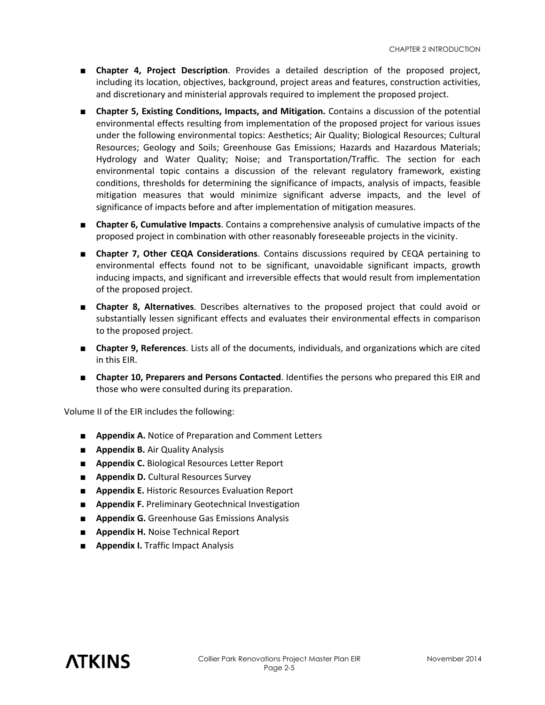- **Chapter 4, Project Description**. Provides a detailed description of the proposed project, including its location, objectives, background, project areas and features, construction activities, and discretionary and ministerial approvals required to implement the proposed project.
- **Chapter 5, Existing Conditions, Impacts, and Mitigation.** Contains a discussion of the potential environmental effects resulting from implementation of the proposed project for various issues under the following environmental topics: Aesthetics; Air Quality; Biological Resources; Cultural Resources; Geology and Soils; Greenhouse Gas Emissions; Hazards and Hazardous Materials; Hydrology and Water Quality; Noise; and Transportation/Traffic. The section for each environmental topic contains a discussion of the relevant regulatory framework, existing conditions, thresholds for determining the significance of impacts, analysis of impacts, feasible mitigation measures that would minimize significant adverse impacts, and the level of significance of impacts before and after implementation of mitigation measures.
- **Chapter 6, Cumulative Impacts**. Contains a comprehensive analysis of cumulative impacts of the proposed project in combination with other reasonably foreseeable projects in the vicinity.
- **Chapter 7, Other CEQA Considerations**. Contains discussions required by CEQA pertaining to environmental effects found not to be significant, unavoidable significant impacts, growth inducing impacts, and significant and irreversible effects that would result from implementation of the proposed project.
- **Chapter 8, Alternatives**. Describes alternatives to the proposed project that could avoid or substantially lessen significant effects and evaluates their environmental effects in comparison to the proposed project.
- **Chapter 9, References**. Lists all of the documents, individuals, and organizations which are cited in this EIR.
- **Chapter 10, Preparers and Persons Contacted**. Identifies the persons who prepared this EIR and those who were consulted during its preparation.

Volume II of the EIR includes the following:

- **Appendix A.** Notice of Preparation and Comment Letters
- **Appendix B.** Air Quality Analysis
- **Appendix C.** Biological Resources Letter Report
- **Appendix D.** Cultural Resources Survey
- **Appendix E.** Historic Resources Evaluation Report
- **Appendix F.** Preliminary Geotechnical Investigation
- **Appendix G.** Greenhouse Gas Emissions Analysis
- **Appendix H.** Noise Technical Report
- **Appendix I.** Traffic Impact Analysis